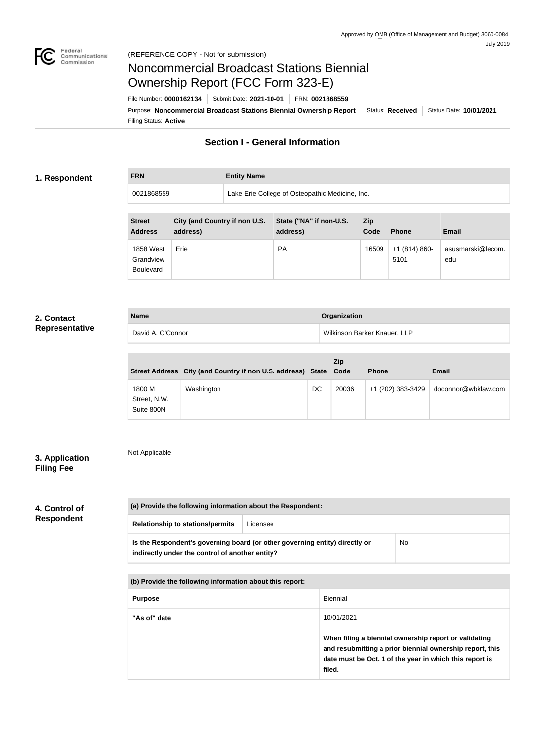

# Noncommercial Broadcast Stations Biennial Ownership Report (FCC Form 323-E)

Filing Status: **Active** Purpose: Noncommercial Broadcast Stations Biennial Ownership Report | Status: Received | Status Date: 10/01/2021 File Number: **0000162134** Submit Date: **2021-10-01** FRN: **0021868559**

## **Section I - General Information**

## **1. Respondent**

**FRN Entity Name** 0021868559 Lake Erie College of Osteopathic Medicine, Inc.

| <b>Street</b><br><b>Address</b>            | City (and Country if non U.S.<br>address) | State ("NA" if non-U.S.<br>address) | <b>Zip</b><br>Code | <b>Phone</b>          | <b>Email</b>             |
|--------------------------------------------|-------------------------------------------|-------------------------------------|--------------------|-----------------------|--------------------------|
| 1858 West<br>Grandview<br><b>Boulevard</b> | Erie                                      | <b>PA</b>                           | 16509              | $+1(814)860-$<br>5101 | asusmarski@lecom.<br>edu |

## **2. Contact Representative**

| <b>Name</b>       | Organization                 |
|-------------------|------------------------------|
| David A. O'Connor | Wilkinson Barker Knauer, LLP |

|                                      | Street Address City (and Country if non U.S. address) State Code |    | Zip   | <b>Phone</b>      | <b>Email</b>        |
|--------------------------------------|------------------------------------------------------------------|----|-------|-------------------|---------------------|
| 1800 M<br>Street, N.W.<br>Suite 800N | Washington                                                       | DC | 20036 | +1 (202) 383-3429 | doconnor@wbklaw.com |

## **3. Application Filing Fee**

Not Applicable

## **4. Control of Respondent**

| (a) Provide the following information about the Respondent:                                                                    |          |           |  |  |
|--------------------------------------------------------------------------------------------------------------------------------|----------|-----------|--|--|
| <b>Relationship to stations/permits</b>                                                                                        | Licensee |           |  |  |
| Is the Respondent's governing board (or other governing entity) directly or<br>indirectly under the control of another entity? |          | <b>No</b> |  |  |

**(b) Provide the following information about this report:**

| <b>Purpose</b> | Biennial                                                                                                                                                                               |
|----------------|----------------------------------------------------------------------------------------------------------------------------------------------------------------------------------------|
| "As of" date   | 10/01/2021                                                                                                                                                                             |
|                | When filing a biennial ownership report or validating<br>and resubmitting a prior biennial ownership report, this<br>date must be Oct. 1 of the year in which this report is<br>filed. |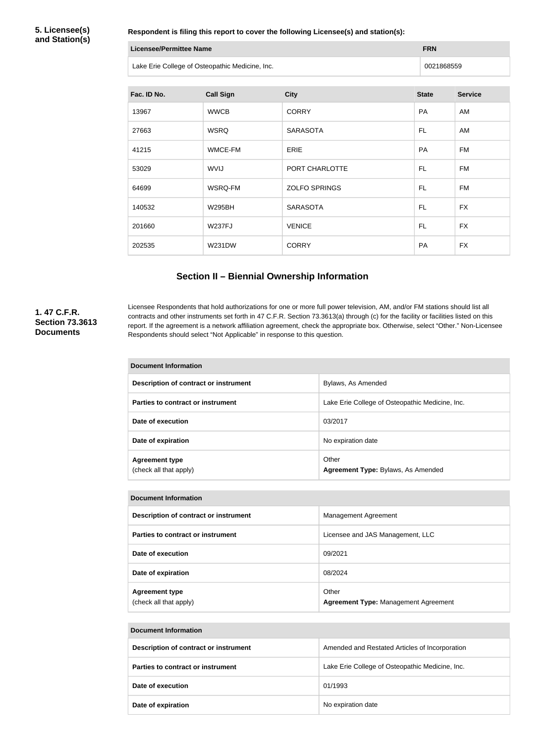**5. Licensee(s) and Station(s)**

**Respondent is filing this report to cover the following Licensee(s) and station(s):**

| Licensee/Permittee Name                         | <b>FRN</b> |
|-------------------------------------------------|------------|
| Lake Erie College of Osteopathic Medicine, Inc. | 0021868559 |

| Fac. ID No. | <b>Call Sign</b> | <b>City</b>          | <b>State</b> | <b>Service</b> |
|-------------|------------------|----------------------|--------------|----------------|
| 13967       | <b>WWCB</b>      | <b>CORRY</b>         | PA           | AM             |
| 27663       | <b>WSRQ</b>      | <b>SARASOTA</b>      | FL.          | AM             |
| 41215       | WMCE-FM          | <b>ERIE</b>          | PA           | <b>FM</b>      |
| 53029       | <b>WVIJ</b>      | PORT CHARLOTTE       | FL.          | <b>FM</b>      |
| 64699       | WSRQ-FM          | <b>ZOLFO SPRINGS</b> | FL.          | <b>FM</b>      |
| 140532      | <b>W295BH</b>    | <b>SARASOTA</b>      | FL.          | <b>FX</b>      |
| 201660      | <b>W237FJ</b>    | <b>VENICE</b>        | FL.          | <b>FX</b>      |
| 202535      | <b>W231DW</b>    | <b>CORRY</b>         | <b>PA</b>    | <b>FX</b>      |

## **Section II – Biennial Ownership Information**

## **1. 47 C.F.R. Section 73.3613 Documents**

Licensee Respondents that hold authorizations for one or more full power television, AM, and/or FM stations should list all contracts and other instruments set forth in 47 C.F.R. Section 73.3613(a) through (c) for the facility or facilities listed on this report. If the agreement is a network affiliation agreement, check the appropriate box. Otherwise, select "Other." Non-Licensee Respondents should select "Not Applicable" in response to this question.

| <b>Document Information</b>                     |                                                 |  |  |
|-------------------------------------------------|-------------------------------------------------|--|--|
| Description of contract or instrument           | Bylaws, As Amended                              |  |  |
| Parties to contract or instrument               | Lake Erie College of Osteopathic Medicine, Inc. |  |  |
| Date of execution                               | 03/2017                                         |  |  |
| Date of expiration                              | No expiration date                              |  |  |
| <b>Agreement type</b><br>(check all that apply) | Other<br>Agreement Type: Bylaws, As Amended     |  |  |

#### **Document Information**

| Description of contract or instrument           | Management Agreement                                 |
|-------------------------------------------------|------------------------------------------------------|
| Parties to contract or instrument               | Licensee and JAS Management, LLC                     |
| Date of execution                               | 09/2021                                              |
| Date of expiration                              | 08/2024                                              |
| <b>Agreement type</b><br>(check all that apply) | Other<br><b>Agreement Type: Management Agreement</b> |

| <b>Document Information</b>           |                                                 |  |  |
|---------------------------------------|-------------------------------------------------|--|--|
| Description of contract or instrument | Amended and Restated Articles of Incorporation  |  |  |
| Parties to contract or instrument     | Lake Erie College of Osteopathic Medicine, Inc. |  |  |
| Date of execution                     | 01/1993                                         |  |  |
| Date of expiration                    | No expiration date                              |  |  |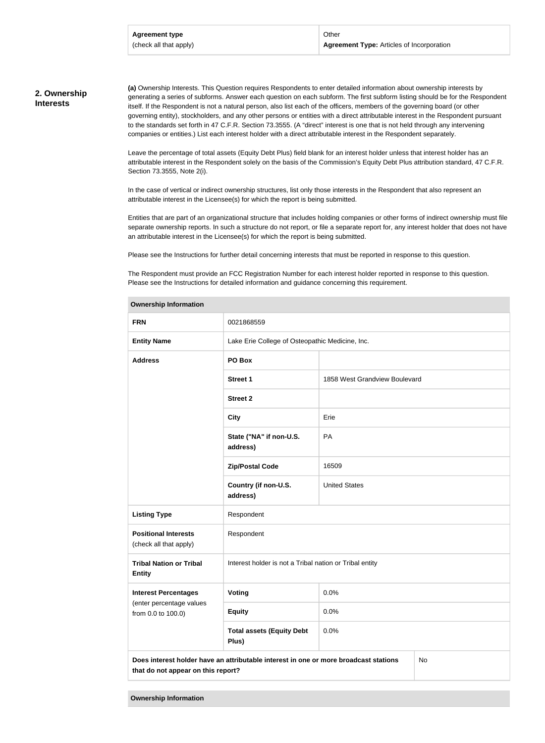### **2. Ownership Interests**

**(a)** Ownership Interests. This Question requires Respondents to enter detailed information about ownership interests by generating a series of subforms. Answer each question on each subform. The first subform listing should be for the Respondent itself. If the Respondent is not a natural person, also list each of the officers, members of the governing board (or other governing entity), stockholders, and any other persons or entities with a direct attributable interest in the Respondent pursuant to the standards set forth in 47 C.F.R. Section 73.3555. (A "direct" interest is one that is not held through any intervening companies or entities.) List each interest holder with a direct attributable interest in the Respondent separately.

Leave the percentage of total assets (Equity Debt Plus) field blank for an interest holder unless that interest holder has an attributable interest in the Respondent solely on the basis of the Commission's Equity Debt Plus attribution standard, 47 C.F.R. Section 73.3555, Note 2(i).

In the case of vertical or indirect ownership structures, list only those interests in the Respondent that also represent an attributable interest in the Licensee(s) for which the report is being submitted.

Entities that are part of an organizational structure that includes holding companies or other forms of indirect ownership must file separate ownership reports. In such a structure do not report, or file a separate report for, any interest holder that does not have an attributable interest in the Licensee(s) for which the report is being submitted.

Please see the Instructions for further detail concerning interests that must be reported in response to this question.

The Respondent must provide an FCC Registration Number for each interest holder reported in response to this question. Please see the Instructions for detailed information and guidance concerning this requirement.

| <b>FRN</b>                                                                                                                       | 0021868559                                              |                               |  |  |
|----------------------------------------------------------------------------------------------------------------------------------|---------------------------------------------------------|-------------------------------|--|--|
| <b>Entity Name</b>                                                                                                               | Lake Erie College of Osteopathic Medicine, Inc.         |                               |  |  |
| <b>Address</b>                                                                                                                   | PO Box                                                  |                               |  |  |
|                                                                                                                                  | <b>Street 1</b>                                         | 1858 West Grandview Boulevard |  |  |
|                                                                                                                                  | <b>Street 2</b>                                         |                               |  |  |
|                                                                                                                                  | <b>City</b>                                             | Erie                          |  |  |
|                                                                                                                                  | State ("NA" if non-U.S.<br>address)                     | PA                            |  |  |
|                                                                                                                                  | <b>Zip/Postal Code</b>                                  | 16509                         |  |  |
|                                                                                                                                  | Country (if non-U.S.<br>address)                        | <b>United States</b>          |  |  |
| <b>Listing Type</b>                                                                                                              | Respondent                                              |                               |  |  |
| <b>Positional Interests</b><br>(check all that apply)                                                                            | Respondent                                              |                               |  |  |
| <b>Tribal Nation or Tribal</b><br><b>Entity</b>                                                                                  | Interest holder is not a Tribal nation or Tribal entity |                               |  |  |
| <b>Interest Percentages</b>                                                                                                      | Voting                                                  | 0.0%                          |  |  |
| (enter percentage values<br>from 0.0 to 100.0)                                                                                   | <b>Equity</b>                                           | 0.0%                          |  |  |
| 0.0%<br><b>Total assets (Equity Debt</b><br>Plus)                                                                                |                                                         |                               |  |  |
| Does interest holder have an attributable interest in one or more broadcast stations<br>No<br>that do not appear on this report? |                                                         |                               |  |  |
|                                                                                                                                  |                                                         |                               |  |  |

#### **Ownership Information**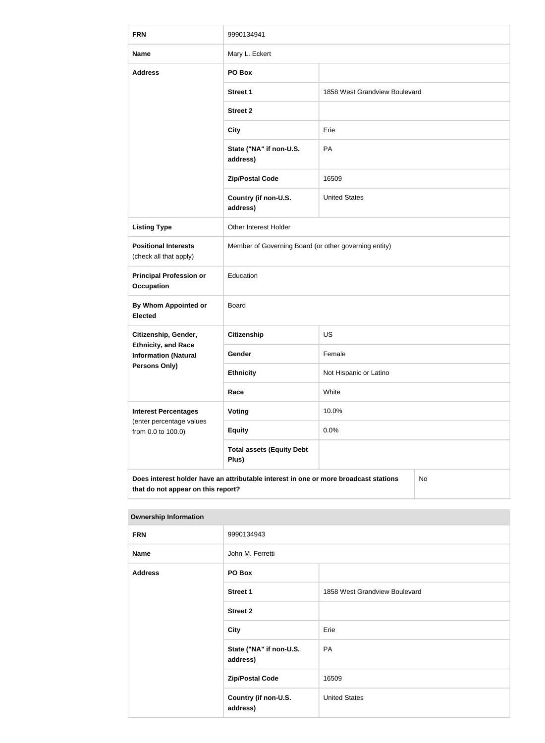| <b>FRN</b>                                                                                                                       | 9990134941                                            |                               |  |  |
|----------------------------------------------------------------------------------------------------------------------------------|-------------------------------------------------------|-------------------------------|--|--|
| <b>Name</b>                                                                                                                      | Mary L. Eckert                                        |                               |  |  |
| <b>Address</b>                                                                                                                   | PO Box                                                |                               |  |  |
|                                                                                                                                  | <b>Street 1</b>                                       | 1858 West Grandview Boulevard |  |  |
|                                                                                                                                  | <b>Street 2</b>                                       |                               |  |  |
|                                                                                                                                  | <b>City</b>                                           | Erie                          |  |  |
|                                                                                                                                  | State ("NA" if non-U.S.<br>address)                   | PA                            |  |  |
|                                                                                                                                  | <b>Zip/Postal Code</b>                                | 16509                         |  |  |
|                                                                                                                                  | Country (if non-U.S.<br>address)                      | <b>United States</b>          |  |  |
| <b>Listing Type</b>                                                                                                              | Other Interest Holder                                 |                               |  |  |
| <b>Positional Interests</b><br>(check all that apply)                                                                            | Member of Governing Board (or other governing entity) |                               |  |  |
| <b>Principal Profession or</b><br><b>Occupation</b>                                                                              | Education                                             |                               |  |  |
| <b>By Whom Appointed or</b><br><b>Elected</b>                                                                                    | <b>Board</b>                                          |                               |  |  |
| Citizenship, Gender,                                                                                                             | Citizenship                                           | US                            |  |  |
| <b>Ethnicity, and Race</b><br><b>Information (Natural</b>                                                                        | Gender                                                | Female                        |  |  |
| Persons Only)                                                                                                                    | <b>Ethnicity</b>                                      | Not Hispanic or Latino        |  |  |
|                                                                                                                                  | Race                                                  | White                         |  |  |
| <b>Interest Percentages</b><br>(enter percentage values                                                                          | <b>Voting</b>                                         | 10.0%                         |  |  |
| from 0.0 to 100.0)                                                                                                               | <b>Equity</b>                                         | 0.0%                          |  |  |
|                                                                                                                                  | <b>Total assets (Equity Debt</b><br>Plus)             |                               |  |  |
| Does interest holder have an attributable interest in one or more broadcast stations<br>No<br>that do not appear on this report? |                                                       |                               |  |  |

| $-$            |                                     |                               |
|----------------|-------------------------------------|-------------------------------|
| <b>FRN</b>     | 9990134943                          |                               |
| <b>Name</b>    | John M. Ferretti                    |                               |
| <b>Address</b> | PO Box                              |                               |
|                | <b>Street 1</b>                     | 1858 West Grandview Boulevard |
|                | <b>Street 2</b>                     |                               |
|                | <b>City</b>                         | Erie                          |
|                | State ("NA" if non-U.S.<br>address) | PA                            |
|                | <b>Zip/Postal Code</b>              | 16509                         |
|                | Country (if non-U.S.<br>address)    | <b>United States</b>          |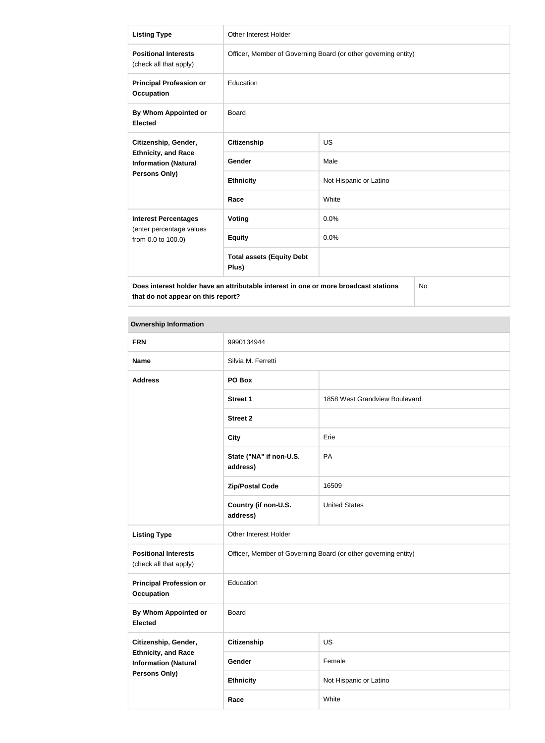| <b>Listing Type</b>                                                                        | <b>Other Interest Holder</b>                                   |                        |  |
|--------------------------------------------------------------------------------------------|----------------------------------------------------------------|------------------------|--|
| <b>Positional Interests</b><br>(check all that apply)                                      | Officer, Member of Governing Board (or other governing entity) |                        |  |
| <b>Principal Profession or</b><br><b>Occupation</b>                                        | Education                                                      |                        |  |
| By Whom Appointed or<br><b>Elected</b>                                                     | <b>Board</b>                                                   |                        |  |
| Citizenship, Gender,                                                                       | <b>Citizenship</b>                                             | <b>US</b>              |  |
| <b>Ethnicity, and Race</b><br><b>Information (Natural</b>                                  | Gender                                                         | Male                   |  |
| Persons Only)                                                                              | <b>Ethnicity</b>                                               | Not Hispanic or Latino |  |
|                                                                                            | Race                                                           | White                  |  |
| <b>Interest Percentages</b>                                                                | Voting                                                         | 0.0%                   |  |
| (enter percentage values<br>from 0.0 to 100.0)                                             | <b>Equity</b>                                                  | 0.0%                   |  |
|                                                                                            | <b>Total assets (Equity Debt</b><br>Plus)                      |                        |  |
| Does interest holder have an attributable interest in one or more broadcast stations<br>No |                                                                |                        |  |

| <b>Ownership Information</b>                              |                                                                |                               |
|-----------------------------------------------------------|----------------------------------------------------------------|-------------------------------|
| <b>FRN</b>                                                | 9990134944                                                     |                               |
| <b>Name</b>                                               | Silvia M. Ferretti                                             |                               |
| <b>Address</b>                                            | PO Box                                                         |                               |
|                                                           | Street 1                                                       | 1858 West Grandview Boulevard |
|                                                           | <b>Street 2</b>                                                |                               |
|                                                           | <b>City</b>                                                    | Erie                          |
|                                                           | State ("NA" if non-U.S.<br>address)                            | PA                            |
|                                                           | <b>Zip/Postal Code</b>                                         | 16509                         |
|                                                           | Country (if non-U.S.<br>address)                               | <b>United States</b>          |
| <b>Listing Type</b>                                       | Other Interest Holder                                          |                               |
| <b>Positional Interests</b><br>(check all that apply)     | Officer, Member of Governing Board (or other governing entity) |                               |
| <b>Principal Profession or</b><br><b>Occupation</b>       | Education                                                      |                               |
| By Whom Appointed or<br><b>Elected</b>                    | Board                                                          |                               |
| Citizenship, Gender,                                      | <b>Citizenship</b>                                             | US                            |
| <b>Ethnicity, and Race</b><br><b>Information (Natural</b> | Gender                                                         | Female                        |
| <b>Persons Only)</b>                                      | <b>Ethnicity</b>                                               | Not Hispanic or Latino        |
|                                                           | Race                                                           | White                         |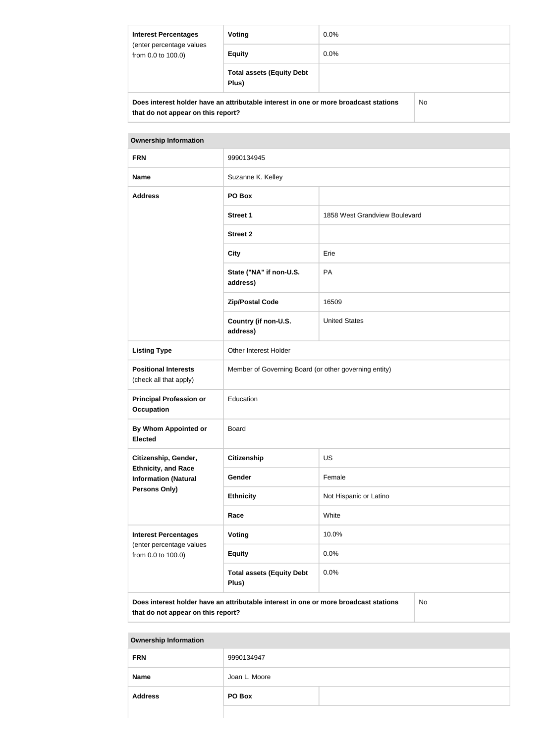| <b>Interest Percentages</b><br>(enter percentage values<br>from 0.0 to 100.0)        | Voting                                    | $0.0\%$ |  |
|--------------------------------------------------------------------------------------|-------------------------------------------|---------|--|
|                                                                                      | <b>Equity</b>                             | $0.0\%$ |  |
|                                                                                      | <b>Total assets (Equity Debt</b><br>Plus) |         |  |
| Does interest holder have an attributable interest in one or more broadcast stations |                                           | No.     |  |

| <b>Ownership Information</b>                                                               |                                                       |                               |  |
|--------------------------------------------------------------------------------------------|-------------------------------------------------------|-------------------------------|--|
| <b>FRN</b>                                                                                 | 9990134945                                            |                               |  |
| <b>Name</b>                                                                                | Suzanne K. Kelley                                     |                               |  |
| <b>Address</b>                                                                             | PO Box                                                |                               |  |
|                                                                                            | <b>Street 1</b>                                       | 1858 West Grandview Boulevard |  |
|                                                                                            | <b>Street 2</b>                                       |                               |  |
|                                                                                            | <b>City</b>                                           | Erie                          |  |
|                                                                                            | State ("NA" if non-U.S.<br>address)                   | PA                            |  |
|                                                                                            | <b>Zip/Postal Code</b>                                | 16509                         |  |
|                                                                                            | Country (if non-U.S.<br>address)                      | <b>United States</b>          |  |
| <b>Listing Type</b>                                                                        | Other Interest Holder                                 |                               |  |
| <b>Positional Interests</b><br>(check all that apply)                                      | Member of Governing Board (or other governing entity) |                               |  |
| <b>Principal Profession or</b><br><b>Occupation</b>                                        | Education                                             |                               |  |
| <b>By Whom Appointed or</b><br><b>Elected</b>                                              | Board                                                 |                               |  |
| Citizenship, Gender,                                                                       | <b>Citizenship</b>                                    | <b>US</b>                     |  |
| <b>Ethnicity, and Race</b><br><b>Information (Natural</b>                                  | Gender                                                | Female                        |  |
| Persons Only)                                                                              | <b>Ethnicity</b>                                      | Not Hispanic or Latino        |  |
|                                                                                            | Race                                                  | White                         |  |
| <b>Interest Percentages</b><br>(enter percentage values                                    | Voting                                                | 10.0%                         |  |
| from 0.0 to 100.0)                                                                         | <b>Equity</b>                                         | 0.0%                          |  |
|                                                                                            | <b>Total assets (Equity Debt</b><br>0.0%<br>Plus)     |                               |  |
| Does interest holder have an attributable interest in one or more broadcast stations<br>No |                                                       |                               |  |

**that do not appear on this report?**

| <b>FRN</b>     | 9990134947    |  |
|----------------|---------------|--|
| <b>Name</b>    | Joan L. Moore |  |
| <b>Address</b> | PO Box        |  |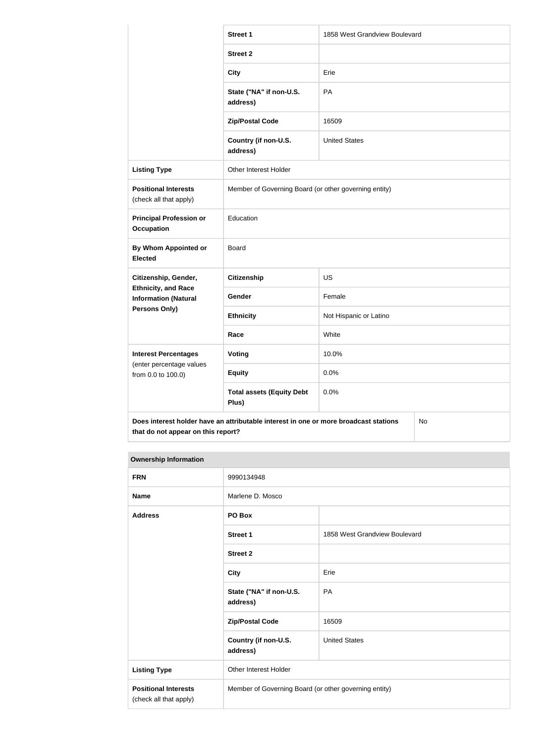|                                                           | <b>Street 1</b>                                                                      | 1858 West Grandview Boulevard |  |
|-----------------------------------------------------------|--------------------------------------------------------------------------------------|-------------------------------|--|
|                                                           | <b>Street 2</b>                                                                      |                               |  |
|                                                           | <b>City</b>                                                                          | Erie                          |  |
|                                                           | State ("NA" if non-U.S.<br>address)                                                  | PA                            |  |
|                                                           | <b>Zip/Postal Code</b>                                                               | 16509                         |  |
|                                                           | Country (if non-U.S.<br>address)                                                     | <b>United States</b>          |  |
| <b>Listing Type</b>                                       | Other Interest Holder                                                                |                               |  |
| <b>Positional Interests</b><br>(check all that apply)     | Member of Governing Board (or other governing entity)                                |                               |  |
| <b>Principal Profession or</b><br><b>Occupation</b>       | Education                                                                            |                               |  |
| By Whom Appointed or<br><b>Elected</b>                    | Board                                                                                |                               |  |
| Citizenship, Gender,                                      | <b>Citizenship</b>                                                                   | <b>US</b>                     |  |
| <b>Ethnicity, and Race</b><br><b>Information (Natural</b> | Gender                                                                               | Female                        |  |
| <b>Persons Only)</b>                                      | <b>Ethnicity</b>                                                                     | Not Hispanic or Latino        |  |
|                                                           | Race                                                                                 | White                         |  |
| <b>Interest Percentages</b>                               | <b>Voting</b>                                                                        | 10.0%                         |  |
| (enter percentage values<br>from 0.0 to 100.0)            | <b>Equity</b>                                                                        | 0.0%                          |  |
|                                                           | <b>Total assets (Equity Debt</b><br>Plus)                                            | 0.0%                          |  |
|                                                           | Does interest holder have an attributable interest in one or more broadcast stations | No                            |  |

| <b>Ownership Information</b>                          |                                                       |                               |
|-------------------------------------------------------|-------------------------------------------------------|-------------------------------|
| <b>FRN</b>                                            | 9990134948                                            |                               |
| <b>Name</b>                                           | Marlene D. Mosco                                      |                               |
| <b>Address</b>                                        | PO Box                                                |                               |
|                                                       | <b>Street 1</b>                                       | 1858 West Grandview Boulevard |
|                                                       | <b>Street 2</b>                                       |                               |
|                                                       | <b>City</b>                                           | Erie                          |
|                                                       | State ("NA" if non-U.S.<br>address)                   | PA                            |
|                                                       | <b>Zip/Postal Code</b>                                | 16509                         |
|                                                       | Country (if non-U.S.<br>address)                      | <b>United States</b>          |
| <b>Listing Type</b>                                   | Other Interest Holder                                 |                               |
| <b>Positional Interests</b><br>(check all that apply) | Member of Governing Board (or other governing entity) |                               |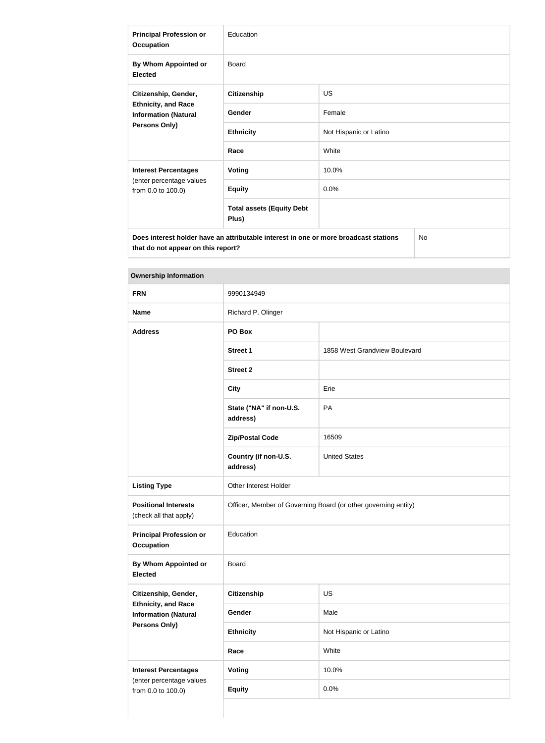| <b>Principal Profession or</b><br><b>Occupation</b>                                                       | Education                                 |                        |  |
|-----------------------------------------------------------------------------------------------------------|-------------------------------------------|------------------------|--|
| By Whom Appointed or<br><b>Elected</b>                                                                    | Board                                     |                        |  |
| Citizenship, Gender,<br><b>Ethnicity, and Race</b><br><b>Information (Natural</b><br><b>Persons Only)</b> | <b>Citizenship</b>                        | <b>US</b>              |  |
|                                                                                                           | Gender                                    | Female                 |  |
|                                                                                                           | <b>Ethnicity</b>                          | Not Hispanic or Latino |  |
|                                                                                                           | Race                                      | White                  |  |
| <b>Interest Percentages</b>                                                                               | <b>Voting</b>                             | 10.0%                  |  |
| (enter percentage values<br>from 0.0 to 100.0)                                                            | <b>Equity</b>                             | 0.0%                   |  |
|                                                                                                           | <b>Total assets (Equity Debt</b><br>Plus) |                        |  |
| No.<br>Does interest holder have an attributable interest in one or more broadcast stations               |                                           |                        |  |

| <b>Ownership Information</b>                              |                                                                |                               |
|-----------------------------------------------------------|----------------------------------------------------------------|-------------------------------|
| <b>FRN</b>                                                | 9990134949                                                     |                               |
| <b>Name</b>                                               | Richard P. Olinger                                             |                               |
| <b>Address</b>                                            | PO Box                                                         |                               |
|                                                           | <b>Street 1</b>                                                | 1858 West Grandview Boulevard |
|                                                           | <b>Street 2</b>                                                |                               |
|                                                           | <b>City</b>                                                    | Erie                          |
|                                                           | State ("NA" if non-U.S.<br>address)                            | PA                            |
|                                                           | <b>Zip/Postal Code</b>                                         | 16509                         |
|                                                           | Country (if non-U.S.<br>address)                               | <b>United States</b>          |
| <b>Listing Type</b>                                       | Other Interest Holder                                          |                               |
| <b>Positional Interests</b><br>(check all that apply)     | Officer, Member of Governing Board (or other governing entity) |                               |
| <b>Principal Profession or</b><br><b>Occupation</b>       | Education                                                      |                               |
| <b>By Whom Appointed or</b><br><b>Elected</b>             | Board                                                          |                               |
| Citizenship, Gender,                                      | <b>Citizenship</b>                                             | <b>US</b>                     |
| <b>Ethnicity, and Race</b><br><b>Information (Natural</b> | Gender                                                         | Male                          |
| <b>Persons Only)</b>                                      | <b>Ethnicity</b>                                               | Not Hispanic or Latino        |
|                                                           | Race                                                           | White                         |
| <b>Interest Percentages</b>                               | <b>Voting</b>                                                  | 10.0%                         |
| (enter percentage values<br>from 0.0 to 100.0)            | <b>Equity</b>                                                  | 0.0%                          |
|                                                           |                                                                |                               |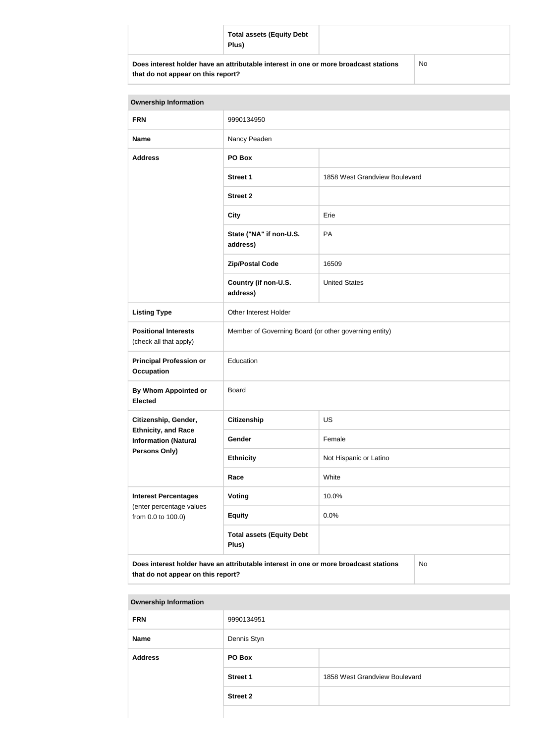|                                                                                      | <b>Total assets (Equity Debt</b><br>Plus) |    |  |
|--------------------------------------------------------------------------------------|-------------------------------------------|----|--|
| Does interest holder have an attributable interest in one or more broadcast stations |                                           | No |  |

| that do not appear on this report? |  |  |  |  |
|------------------------------------|--|--|--|--|
|------------------------------------|--|--|--|--|

| <b>Ownership Information</b>                              |                                                                                      |                               |    |  |
|-----------------------------------------------------------|--------------------------------------------------------------------------------------|-------------------------------|----|--|
| <b>FRN</b>                                                | 9990134950                                                                           |                               |    |  |
| <b>Name</b>                                               | Nancy Peaden                                                                         |                               |    |  |
| <b>Address</b>                                            | PO Box                                                                               |                               |    |  |
|                                                           | <b>Street 1</b>                                                                      | 1858 West Grandview Boulevard |    |  |
|                                                           | <b>Street 2</b>                                                                      |                               |    |  |
|                                                           | <b>City</b>                                                                          | Erie                          |    |  |
|                                                           | State ("NA" if non-U.S.<br>address)                                                  | PA                            |    |  |
|                                                           | <b>Zip/Postal Code</b>                                                               | 16509                         |    |  |
|                                                           | Country (if non-U.S.<br>address)                                                     | <b>United States</b>          |    |  |
| <b>Listing Type</b>                                       | Other Interest Holder                                                                |                               |    |  |
| <b>Positional Interests</b><br>(check all that apply)     | Member of Governing Board (or other governing entity)                                |                               |    |  |
| <b>Principal Profession or</b><br><b>Occupation</b>       | Education                                                                            |                               |    |  |
| By Whom Appointed or<br><b>Elected</b>                    | <b>Board</b>                                                                         |                               |    |  |
| Citizenship, Gender,<br><b>Citizenship</b><br>US          |                                                                                      |                               |    |  |
| <b>Ethnicity, and Race</b><br><b>Information (Natural</b> | Gender                                                                               | Female                        |    |  |
| <b>Persons Only)</b>                                      | <b>Ethnicity</b>                                                                     | Not Hispanic or Latino        |    |  |
|                                                           | Race                                                                                 | White                         |    |  |
| <b>Interest Percentages</b><br>(enter percentage values   | <b>Voting</b>                                                                        | 10.0%                         |    |  |
| from 0.0 to 100.0)                                        | <b>Equity</b>                                                                        | 0.0%                          |    |  |
|                                                           | <b>Total assets (Equity Debt</b><br>Plus)                                            |                               |    |  |
| that do not appear on this report?                        | Does interest holder have an attributable interest in one or more broadcast stations |                               | No |  |

| <b>Ownership Information</b> |                 |                               |
|------------------------------|-----------------|-------------------------------|
| <b>FRN</b>                   | 9990134951      |                               |
| <b>Name</b>                  | Dennis Styn     |                               |
| <b>Address</b>               | PO Box          |                               |
|                              | <b>Street 1</b> | 1858 West Grandview Boulevard |
|                              | <b>Street 2</b> |                               |
|                              |                 |                               |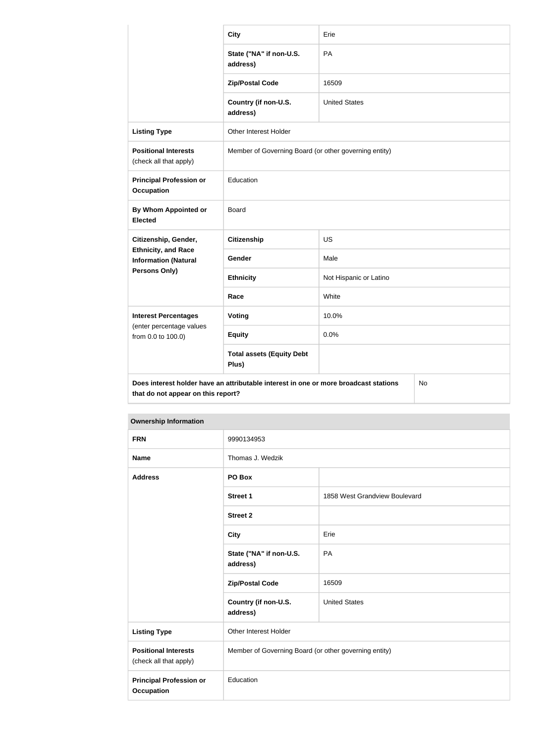|                                                                                   | <b>City</b>                                                                          | Erie                   |    |
|-----------------------------------------------------------------------------------|--------------------------------------------------------------------------------------|------------------------|----|
|                                                                                   | State ("NA" if non-U.S.<br>address)                                                  | PA                     |    |
|                                                                                   | <b>Zip/Postal Code</b>                                                               | 16509                  |    |
|                                                                                   | Country (if non-U.S.<br>address)                                                     | <b>United States</b>   |    |
| <b>Listing Type</b>                                                               | Other Interest Holder                                                                |                        |    |
| <b>Positional Interests</b><br>(check all that apply)                             | Member of Governing Board (or other governing entity)                                |                        |    |
| <b>Principal Profession or</b><br><b>Occupation</b>                               | Education                                                                            |                        |    |
| <b>By Whom Appointed or</b><br><b>Elected</b>                                     | <b>Board</b>                                                                         |                        |    |
| Citizenship, Gender,<br><b>Ethnicity, and Race</b><br><b>Information (Natural</b> | <b>Citizenship</b>                                                                   | <b>US</b>              |    |
|                                                                                   | Gender                                                                               | Male                   |    |
| Persons Only)                                                                     | <b>Ethnicity</b>                                                                     | Not Hispanic or Latino |    |
|                                                                                   | Race                                                                                 | White                  |    |
| <b>Interest Percentages</b>                                                       | <b>Voting</b>                                                                        | 10.0%                  |    |
| (enter percentage values<br>from 0.0 to 100.0)                                    | <b>Equity</b>                                                                        | 0.0%                   |    |
|                                                                                   | <b>Total assets (Equity Debt</b><br>Plus)                                            |                        |    |
| that do not appear on this report?                                                | Does interest holder have an attributable interest in one or more broadcast stations |                        | No |

| <b>Ownership Information</b>                          |                                                       |                               |
|-------------------------------------------------------|-------------------------------------------------------|-------------------------------|
| <b>FRN</b>                                            | 9990134953                                            |                               |
| <b>Name</b>                                           | Thomas J. Wedzik                                      |                               |
| <b>Address</b>                                        | PO Box                                                |                               |
|                                                       | Street 1                                              | 1858 West Grandview Boulevard |
|                                                       | <b>Street 2</b>                                       |                               |
|                                                       | <b>City</b>                                           | Erie                          |
|                                                       | State ("NA" if non-U.S.<br>address)                   | <b>PA</b>                     |
|                                                       | <b>Zip/Postal Code</b>                                | 16509                         |
|                                                       | Country (if non-U.S.<br>address)                      | <b>United States</b>          |
| <b>Listing Type</b>                                   | Other Interest Holder                                 |                               |
| <b>Positional Interests</b><br>(check all that apply) | Member of Governing Board (or other governing entity) |                               |
| <b>Principal Profession or</b><br><b>Occupation</b>   | Education                                             |                               |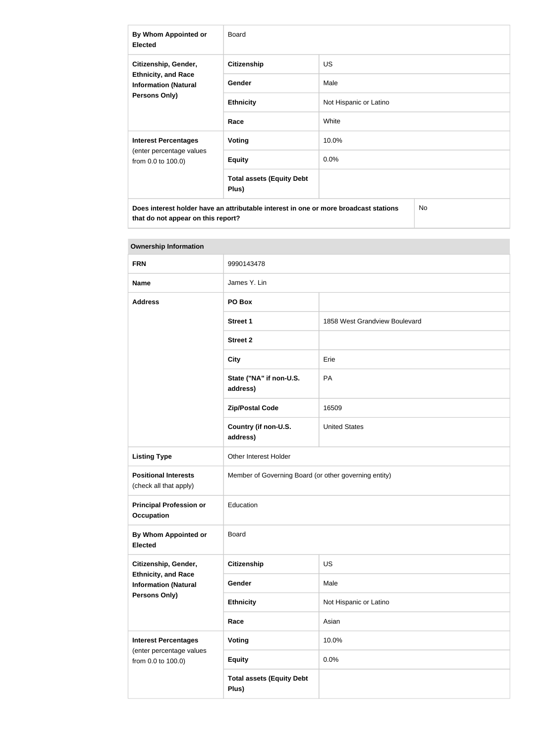| By Whom Appointed or<br><b>Elected</b>                                                                    | Board                                     |                        |  |
|-----------------------------------------------------------------------------------------------------------|-------------------------------------------|------------------------|--|
| Citizenship, Gender,<br><b>Ethnicity, and Race</b><br><b>Information (Natural</b><br><b>Persons Only)</b> | <b>Citizenship</b>                        | <b>US</b>              |  |
|                                                                                                           | Gender                                    | Male                   |  |
|                                                                                                           | <b>Ethnicity</b>                          | Not Hispanic or Latino |  |
|                                                                                                           | Race                                      | White                  |  |
| <b>Interest Percentages</b><br>(enter percentage values<br>from 0.0 to 100.0)                             | Voting                                    | 10.0%                  |  |
|                                                                                                           | <b>Equity</b>                             | 0.0%                   |  |
|                                                                                                           | <b>Total assets (Equity Debt</b><br>Plus) |                        |  |
| Does interest holder have an attributable interest in one or more broadcast stations<br><b>No</b>         |                                           |                        |  |

| <b>Ownership Information</b>                                               |                                                       |                               |  |
|----------------------------------------------------------------------------|-------------------------------------------------------|-------------------------------|--|
| <b>FRN</b>                                                                 | 9990143478                                            |                               |  |
| <b>Name</b>                                                                | James Y. Lin                                          |                               |  |
| <b>Address</b>                                                             | PO Box                                                |                               |  |
|                                                                            | Street 1                                              | 1858 West Grandview Boulevard |  |
|                                                                            | <b>Street 2</b>                                       |                               |  |
|                                                                            | <b>City</b>                                           | Erie                          |  |
|                                                                            | State ("NA" if non-U.S.<br>address)                   | PA                            |  |
|                                                                            | <b>Zip/Postal Code</b>                                | 16509                         |  |
|                                                                            | Country (if non-U.S.<br>address)                      | <b>United States</b>          |  |
| <b>Listing Type</b>                                                        | Other Interest Holder                                 |                               |  |
| <b>Positional Interests</b><br>(check all that apply)                      | Member of Governing Board (or other governing entity) |                               |  |
| <b>Principal Profession or</b><br><b>Occupation</b>                        | Education                                             |                               |  |
| By Whom Appointed or<br><b>Elected</b>                                     | <b>Board</b>                                          |                               |  |
| Citizenship, Gender,                                                       | <b>Citizenship</b>                                    | <b>US</b>                     |  |
| <b>Ethnicity, and Race</b><br><b>Information (Natural</b><br>Persons Only) | Gender                                                | Male                          |  |
|                                                                            | <b>Ethnicity</b>                                      | Not Hispanic or Latino        |  |
|                                                                            | Race                                                  | Asian                         |  |
| <b>Interest Percentages</b><br>(enter percentage values                    | <b>Voting</b>                                         | 10.0%                         |  |
| from 0.0 to 100.0)                                                         | <b>Equity</b>                                         | 0.0%                          |  |
|                                                                            | <b>Total assets (Equity Debt</b><br>Plus)             |                               |  |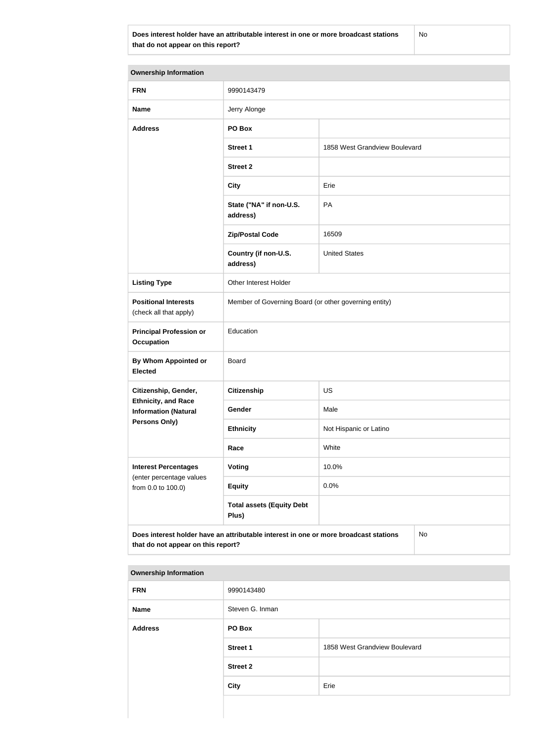**Does interest holder have an attributable interest in one or more broadcast stations that do not appear on this report?**

No

| <b>Ownership Information</b>                              |                                                                                      |                               |  |
|-----------------------------------------------------------|--------------------------------------------------------------------------------------|-------------------------------|--|
| <b>FRN</b>                                                | 9990143479                                                                           |                               |  |
| <b>Name</b>                                               | Jerry Alonge                                                                         |                               |  |
| <b>Address</b>                                            | PO Box                                                                               |                               |  |
|                                                           | <b>Street 1</b>                                                                      | 1858 West Grandview Boulevard |  |
|                                                           | <b>Street 2</b>                                                                      |                               |  |
|                                                           | <b>City</b>                                                                          | Erie                          |  |
|                                                           | State ("NA" if non-U.S.<br>address)                                                  | PA                            |  |
|                                                           | <b>Zip/Postal Code</b>                                                               | 16509                         |  |
|                                                           | Country (if non-U.S.<br>address)                                                     | <b>United States</b>          |  |
| <b>Listing Type</b>                                       | Other Interest Holder                                                                |                               |  |
| <b>Positional Interests</b><br>(check all that apply)     | Member of Governing Board (or other governing entity)                                |                               |  |
| <b>Principal Profession or</b><br><b>Occupation</b>       | Education                                                                            |                               |  |
| By Whom Appointed or<br><b>Elected</b>                    | Board                                                                                |                               |  |
| Citizenship, Gender,                                      | <b>Citizenship</b>                                                                   | US                            |  |
| <b>Ethnicity, and Race</b><br><b>Information (Natural</b> | Gender                                                                               | Male                          |  |
| <b>Persons Only)</b>                                      | <b>Ethnicity</b>                                                                     | Not Hispanic or Latino        |  |
|                                                           | Race                                                                                 | White                         |  |
| <b>Interest Percentages</b>                               | Voting                                                                               | 10.0%                         |  |
| (enter percentage values<br>from 0.0 to 100.0)            | <b>Equity</b>                                                                        | 0.0%                          |  |
|                                                           | <b>Total assets (Equity Debt</b><br>Plus)                                            |                               |  |
| that do not appear on this report?                        | Does interest holder have an attributable interest in one or more broadcast stations | No                            |  |

| <b>FRN</b>     | 9990143480      |                               |
|----------------|-----------------|-------------------------------|
| Name           | Steven G. Inman |                               |
| <b>Address</b> | PO Box          |                               |
|                | <b>Street 1</b> | 1858 West Grandview Boulevard |
|                | <b>Street 2</b> |                               |
|                | <b>City</b>     | Erie                          |
|                |                 |                               |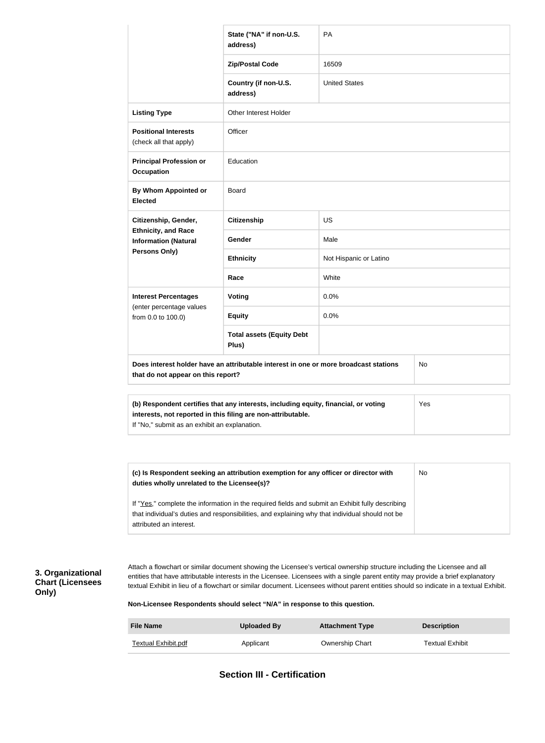|                                                                                                                                                                                                                                | State ("NA" if non-U.S.<br>address)                                                                                                                 | <b>PA</b>              |           |  |
|--------------------------------------------------------------------------------------------------------------------------------------------------------------------------------------------------------------------------------|-----------------------------------------------------------------------------------------------------------------------------------------------------|------------------------|-----------|--|
|                                                                                                                                                                                                                                | <b>Zip/Postal Code</b>                                                                                                                              | 16509                  |           |  |
|                                                                                                                                                                                                                                | Country (if non-U.S.<br>address)                                                                                                                    | <b>United States</b>   |           |  |
| <b>Listing Type</b>                                                                                                                                                                                                            | <b>Other Interest Holder</b>                                                                                                                        |                        |           |  |
| <b>Positional Interests</b><br>(check all that apply)                                                                                                                                                                          | Officer                                                                                                                                             |                        |           |  |
| <b>Principal Profession or</b><br><b>Occupation</b>                                                                                                                                                                            | Education                                                                                                                                           |                        |           |  |
| <b>By Whom Appointed or</b><br><b>Elected</b>                                                                                                                                                                                  | <b>Board</b>                                                                                                                                        |                        |           |  |
| Citizenship, Gender,                                                                                                                                                                                                           | <b>Citizenship</b>                                                                                                                                  | US                     |           |  |
| <b>Ethnicity, and Race</b><br><b>Information (Natural</b>                                                                                                                                                                      | Gender                                                                                                                                              | Male                   |           |  |
| <b>Persons Only)</b>                                                                                                                                                                                                           | <b>Ethnicity</b>                                                                                                                                    | Not Hispanic or Latino |           |  |
|                                                                                                                                                                                                                                | Race                                                                                                                                                | White                  |           |  |
| <b>Interest Percentages</b>                                                                                                                                                                                                    | <b>Voting</b>                                                                                                                                       | 0.0%                   |           |  |
| (enter percentage values<br>from 0.0 to 100.0)                                                                                                                                                                                 | <b>Equity</b>                                                                                                                                       | 0.0%                   |           |  |
|                                                                                                                                                                                                                                | <b>Total assets (Equity Debt</b><br>Plus)                                                                                                           |                        |           |  |
| that do not appear on this report?                                                                                                                                                                                             | Does interest holder have an attributable interest in one or more broadcast stations                                                                |                        | No        |  |
| If "No," submit as an exhibit an explanation.                                                                                                                                                                                  | (b) Respondent certifies that any interests, including equity, financial, or voting<br>interests, not reported in this filing are non-attributable. |                        | Yes       |  |
|                                                                                                                                                                                                                                |                                                                                                                                                     |                        |           |  |
| duties wholly unrelated to the Licensee(s)?                                                                                                                                                                                    | (c) Is Respondent seeking an attribution exemption for any officer or director with                                                                 |                        | <b>No</b> |  |
| If "Yes," complete the information in the required fields and submit an Exhibit fully describing<br>that individual's duties and responsibilities, and explaining why that individual should not be<br>attributed an interest. |                                                                                                                                                     |                        |           |  |

## **3. Organizational Chart (Licensees Only)**

Attach a flowchart or similar document showing the Licensee's vertical ownership structure including the Licensee and all entities that have attributable interests in the Licensee. Licensees with a single parent entity may provide a brief explanatory textual Exhibit in lieu of a flowchart or similar document. Licensees without parent entities should so indicate in a textual Exhibit.

**Non-Licensee Respondents should select "N/A" in response to this question.**

| <b>File Name</b>    | Uploaded By | <b>Attachment Type</b> | <b>Description</b>     |
|---------------------|-------------|------------------------|------------------------|
| Textual Exhibit.pdf | Applicant   | Ownership Chart        | <b>Textual Exhibit</b> |

**Section III - Certification**